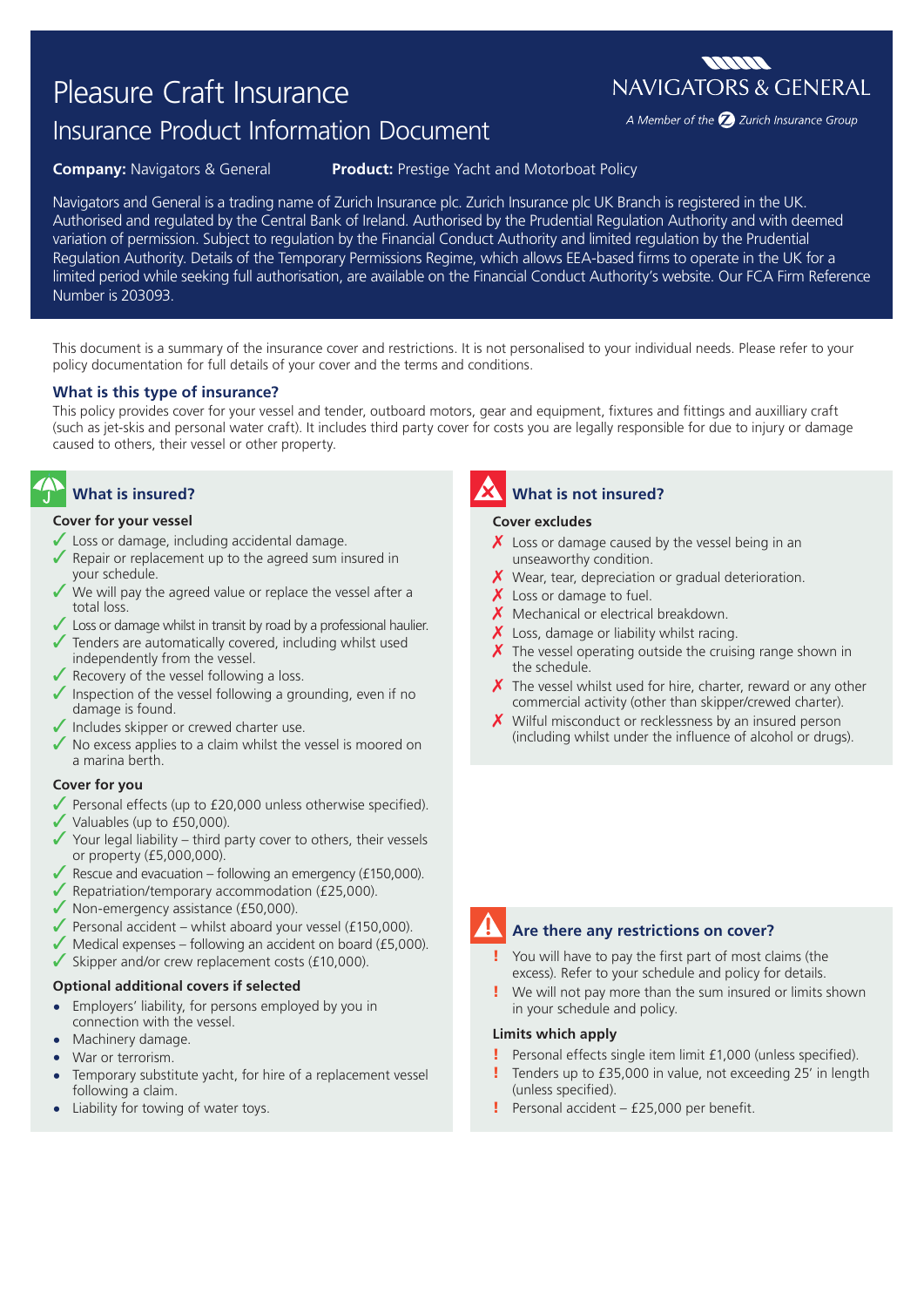# Pleasure Craft Insurance

# Insurance Product Information Document

**Company:** Navigators & General **Product:** Prestige Yacht and Motorboat Policy

Navigators and General is a trading name of Zurich Insurance plc. Zurich Insurance plc UK Branch is registered in the UK. Authorised and regulated by the Central Bank of Ireland. Authorised by the Prudential Regulation Authority and with deemed variation of permission. Subject to regulation by the Financial Conduct Authority and limited regulation by the Prudential Regulation Authority. Details of the Temporary Permissions Regime, which allows EEA-based firms to operate in the UK for a limited period while seeking full authorisation, are available on the Financial Conduct Authority's website. Our FCA Firm Reference Number is 203093.

This document is a summary of the insurance cover and restrictions. It is not personalised to your individual needs. Please refer to your policy documentation for full details of your cover and the terms and conditions.

## **What is this type of insurance?**

This policy provides cover for your vessel and tender, outboard motors, gear and equipment, fixtures and fittings and auxilliary craft (such as jet-skis and personal water craft). It includes third party cover for costs you are legally responsible for due to injury or damage caused to others, their vessel or other property.

# **What is insured?**

### **Cover for your vessel**

- $\checkmark$  Loss or damage, including accidental damage.
- Repair or replacement up to the agreed sum insured in your schedule.
- We will pay the agreed value or replace the vessel after a total loss.
- $\angle$  Loss or damage whilst in transit by road by a professional haulier.
- $\sqrt{\ }$  Tenders are automatically covered, including whilst used independently from the vessel.
- $\sqrt{\ }$  Recovery of the vessel following a loss.
- ✔ Inspection of the vessel following a grounding, even if no damage is found.
- $\sqrt{\ }$  Includes skipper or crewed charter use.
- $\sqrt{\ }$  No excess applies to a claim whilst the vessel is moored on a marina berth.

### **Cover for you**

- $\sqrt{\ }$  Personal effects (up to £20,000 unless otherwise specified).
- $\checkmark$  Valuables (up to £50,000).
- $\checkmark$  Your legal liability third party cover to others, their vessels or property (£5,000,000).
- $\sqrt{\ }$  Rescue and evacuation following an emergency (£150,000).
- $\blacktriangledown$  Repatriation/temporary accommodation (£25,000).
- $\sqrt{\ }$  Non-emergency assistance (£50,000).
- $\blacktriangledown$  Personal accident whilst aboard your vessel (£150,000).
- $\sqrt{\frac{1}{100}}$  Medical expenses following an accident on board (£5,000).
- $\checkmark$  Skipper and/or crew replacement costs (£10,000).

### **Optional additional covers if selected**

- **•** Employers' liability, for persons employed by you in connection with the vessel.
- **•** Machinery damage.
- **•** War or terrorism.
- **•** Temporary substitute yacht, for hire of a replacement vessel following a claim.
- **•** Liability for towing of water toys.

# **What is not insured?**

### **Cover excludes**

- $\chi$  Loss or damage caused by the vessel being in an unseaworthy condition.
- $\chi$  Wear, tear, depreciation or gradual deterioration.
- $\boldsymbol{X}$  Loss or damage to fuel.
- $X$  Mechanical or electrical breakdown.
- $\boldsymbol{X}$  Loss, damage or liability whilst racing.
- $\chi$  The vessel operating outside the cruising range shown in the schedule.
- $\chi$  The vessel whilst used for hire, charter, reward or any other commercial activity (other than skipper/crewed charter).
- $\boldsymbol{X}$  Wilful misconduct or recklessness by an insured person (including whilst under the influence of alcohol or drugs).



# **Are there any restrictions on cover?**

- You will have to pay the first part of most claims (the excess). Refer to your schedule and policy for details.
- We will not pay more than the sum insured or limits shown in your schedule and policy.

# **Limits which apply**

- ! Personal effects single item limit £1,000 (unless specified).
- Tenders up to £35,000 in value, not exceeding 25' in length (unless specified).
- ! Personal accident £25,000 per benefit.